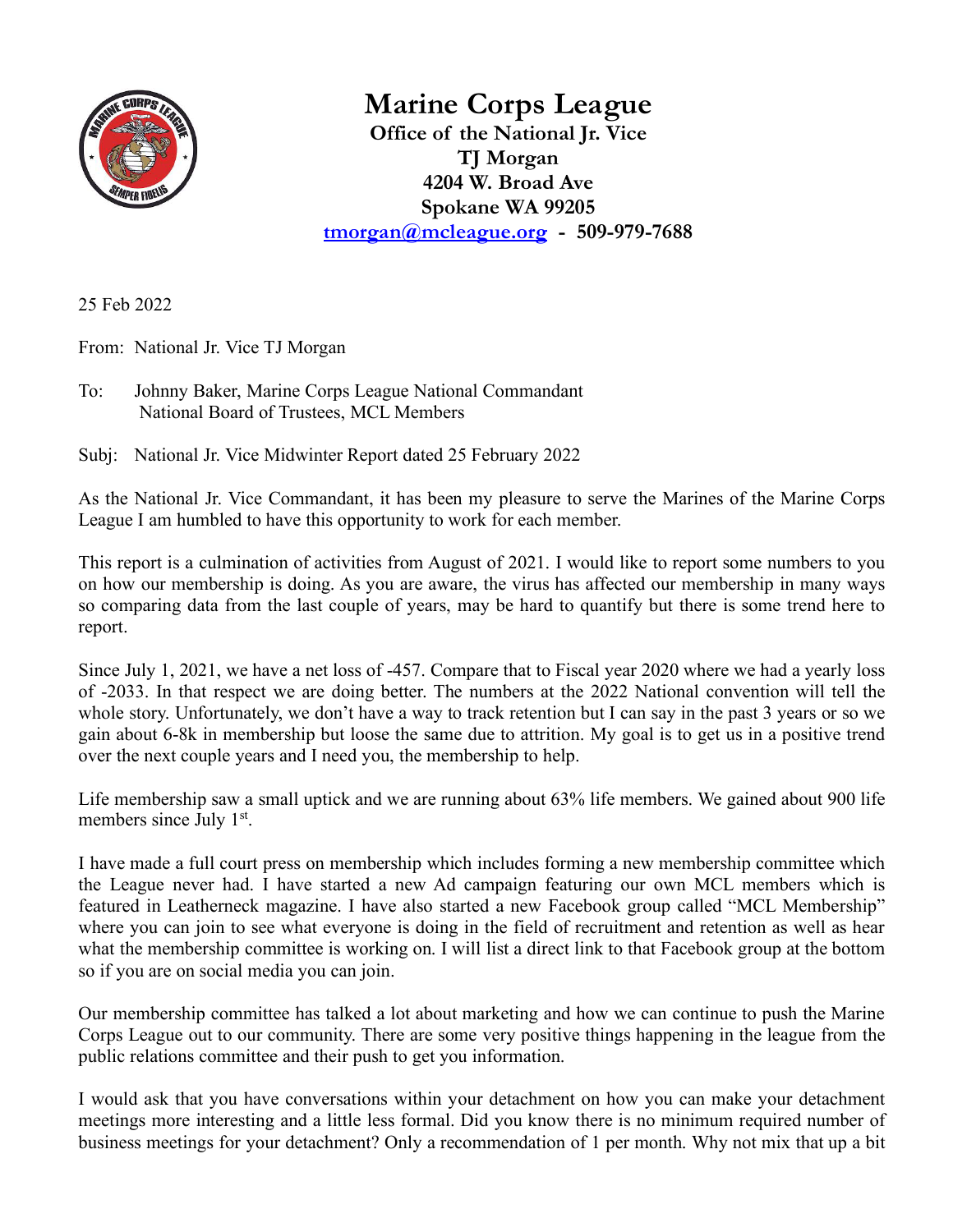

**Marine Corps League**

**Office of the National Jr. Vice TJ Morgan 4204 W. Broad Ave Spokane WA 99205 [tmorgan@mcleague.org](mailto:tmorgan@mcleague.org) - 509-979-7688**

25 Feb 2022

From: National Jr. Vice TJ Morgan

To: Johnny Baker, Marine Corps League National Commandant National Board of Trustees, MCL Members

Subj: National Jr. Vice Midwinter Report dated 25 February 2022

As the National Jr. Vice Commandant, it has been my pleasure to serve the Marines of the Marine Corps League I am humbled to have this opportunity to work for each member.

This report is a culmination of activities from August of 2021. I would like to report some numbers to you on how our membership is doing. As you are aware, the virus has affected our membership in many ways so comparing data from the last couple of years, may be hard to quantify but there is some trend here to report.

Since July 1, 2021, we have a net loss of -457. Compare that to Fiscal year 2020 where we had a yearly loss of -2033. In that respect we are doing better. The numbers at the 2022 National convention will tell the whole story. Unfortunately, we don't have a way to track retention but I can say in the past 3 years or so we gain about 6-8k in membership but loose the same due to attrition. My goal is to get us in a positive trend over the next couple years and I need you, the membership to help.

Life membership saw a small uptick and we are running about 63% life members. We gained about 900 life members since July 1<sup>st</sup>.

I have made a full court press on membership which includes forming a new membership committee which the League never had. I have started a new Ad campaign featuring our own MCL members which is featured in Leatherneck magazine. I have also started a new Facebook group called "MCL Membership" where you can join to see what everyone is doing in the field of recruitment and retention as well as hear what the membership committee is working on. I will list a direct link to that Facebook group at the bottom so if you are on social media you can join.

Our membership committee has talked a lot about marketing and how we can continue to push the Marine Corps League out to our community. There are some very positive things happening in the league from the public relations committee and their push to get you information.

I would ask that you have conversations within your detachment on how you can make your detachment meetings more interesting and a little less formal. Did you know there is no minimum required number of business meetings for your detachment? Only a recommendation of 1 per month. Why not mix that up a bit